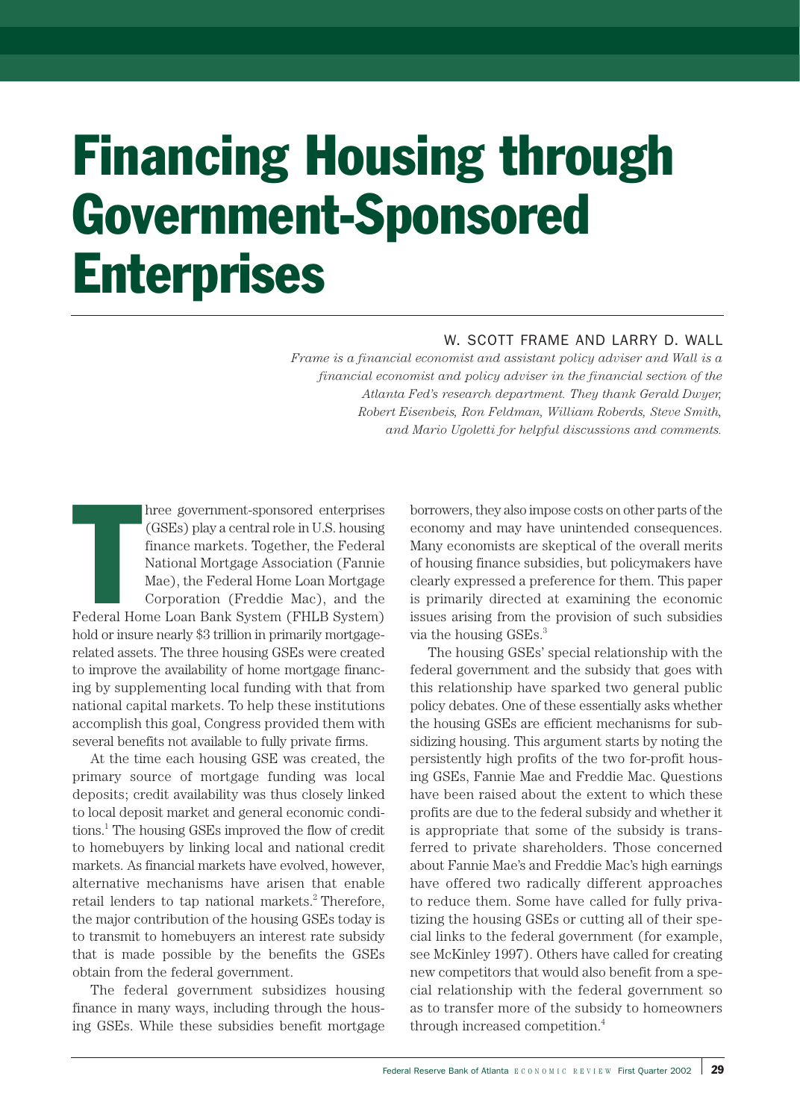# Financing Housing through Government-Sponsored **Enterprises**

# W. SCOTT FRAME AND LARRY D. WALL

*Frame is a financial economist and assistant policy adviser and Wall is a financial economist and policy adviser in the financial section of the Atlanta Fed's research department. They thank Gerald Dwyer, Robert Eisenbeis, Ron Feldman, William Roberds, Steve Smith, and Mario Ugoletti for helpful discussions and comments.*

hree government-sponsored enterprises<br>
(GSEs) play a central role in U.S. housing<br>
finance markets. Together, the Federal<br>
National Mortgage Association (Fannie<br>
Mae), the Federal Home Loan Mortgage<br>
Corporation (Freddie M hree government-sponsored enterprises (GSEs) play a central role in U.S. housing finance markets. Together, the Federal National Mortgage Association (Fannie Mae), the Federal Home Loan Mortgage Corporation (Freddie Mac), and the hold or insure nearly \$3 trillion in primarily mortgagerelated assets. The three housing GSEs were created to improve the availability of home mortgage financing by supplementing local funding with that from national capital markets. To help these institutions accomplish this goal, Congress provided them with several benefits not available to fully private firms.

At the time each housing GSE was created, the primary source of mortgage funding was local deposits; credit availability was thus closely linked to local deposit market and general economic conditions.1 The housing GSEs improved the flow of credit to homebuyers by linking local and national credit markets. As financial markets have evolved, however, alternative mechanisms have arisen that enable retail lenders to tap national markets.<sup>2</sup> Therefore, the major contribution of the housing GSEs today is to transmit to homebuyers an interest rate subsidy that is made possible by the benefits the GSEs obtain from the federal government.

The federal government subsidizes housing finance in many ways, including through the housing GSEs. While these subsidies benefit mortgage borrowers, they also impose costs on other parts of the economy and may have unintended consequences. Many economists are skeptical of the overall merits of housing finance subsidies, but policymakers have clearly expressed a preference for them. This paper is primarily directed at examining the economic issues arising from the provision of such subsidies via the housing GSEs.<sup>3</sup>

The housing GSEs' special relationship with the federal government and the subsidy that goes with this relationship have sparked two general public policy debates. One of these essentially asks whether the housing GSEs are efficient mechanisms for subsidizing housing. This argument starts by noting the persistently high profits of the two for-profit housing GSEs, Fannie Mae and Freddie Mac. Questions have been raised about the extent to which these profits are due to the federal subsidy and whether it is appropriate that some of the subsidy is transferred to private shareholders. Those concerned about Fannie Mae's and Freddie Mac's high earnings have offered two radically different approaches to reduce them. Some have called for fully privatizing the housing GSEs or cutting all of their special links to the federal government (for example, see McKinley 1997). Others have called for creating new competitors that would also benefit from a special relationship with the federal government so as to transfer more of the subsidy to homeowners through increased competition.4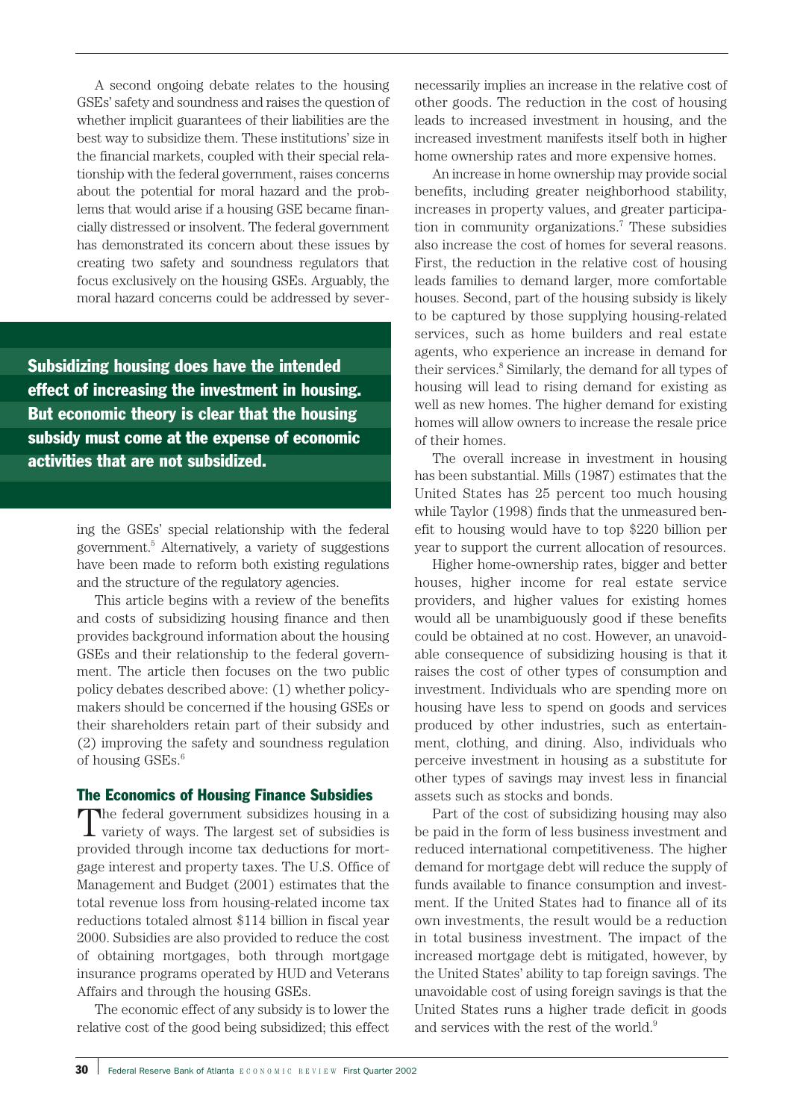A second ongoing debate relates to the housing GSEs' safety and soundness and raises the question of whether implicit guarantees of their liabilities are the best way to subsidize them. These institutions' size in the financial markets, coupled with their special relationship with the federal government, raises concerns about the potential for moral hazard and the problems that would arise if a housing GSE became financially distressed or insolvent. The federal government has demonstrated its concern about these issues by creating two safety and soundness regulators that focus exclusively on the housing GSEs. Arguably, the moral hazard concerns could be addressed by sever-

Subsidizing housing does have the intended effect of increasing the investment in housing. But economic theory is clear that the housing subsidy must come at the expense of economic activities that are not subsidized.

> ing the GSEs' special relationship with the federal government.5 Alternatively, a variety of suggestions have been made to reform both existing regulations and the structure of the regulatory agencies.

> This article begins with a review of the benefits and costs of subsidizing housing finance and then provides background information about the housing GSEs and their relationship to the federal government. The article then focuses on the two public policy debates described above: (1) whether policymakers should be concerned if the housing GSEs or their shareholders retain part of their subsidy and (2) improving the safety and soundness regulation of housing GSEs.<sup>6</sup>

## The Economics of Housing Finance Subsidies

The federal government subsidizes housing in a variety of ways. The largest set of subsidies is provided through income tax deductions for mortgage interest and property taxes. The U.S. Office of Management and Budget (2001) estimates that the total revenue loss from housing-related income tax reductions totaled almost \$114 billion in fiscal year 2000. Subsidies are also provided to reduce the cost of obtaining mortgages, both through mortgage insurance programs operated by HUD and Veterans Affairs and through the housing GSEs.

The economic effect of any subsidy is to lower the relative cost of the good being subsidized; this effect necessarily implies an increase in the relative cost of other goods. The reduction in the cost of housing leads to increased investment in housing, and the increased investment manifests itself both in higher home ownership rates and more expensive homes.

An increase in home ownership may provide social benefits, including greater neighborhood stability, increases in property values, and greater participation in community organizations.7 These subsidies also increase the cost of homes for several reasons. First, the reduction in the relative cost of housing leads families to demand larger, more comfortable houses. Second, part of the housing subsidy is likely to be captured by those supplying housing-related services, such as home builders and real estate agents, who experience an increase in demand for their services.8 Similarly, the demand for all types of housing will lead to rising demand for existing as well as new homes. The higher demand for existing homes will allow owners to increase the resale price of their homes.

The overall increase in investment in housing has been substantial. Mills (1987) estimates that the United States has 25 percent too much housing while Taylor (1998) finds that the unmeasured benefit to housing would have to top \$220 billion per year to support the current allocation of resources.

Higher home-ownership rates, bigger and better houses, higher income for real estate service providers, and higher values for existing homes would all be unambiguously good if these benefits could be obtained at no cost. However, an unavoidable consequence of subsidizing housing is that it raises the cost of other types of consumption and investment. Individuals who are spending more on housing have less to spend on goods and services produced by other industries, such as entertainment, clothing, and dining. Also, individuals who perceive investment in housing as a substitute for other types of savings may invest less in financial assets such as stocks and bonds.

Part of the cost of subsidizing housing may also be paid in the form of less business investment and reduced international competitiveness. The higher demand for mortgage debt will reduce the supply of funds available to finance consumption and investment. If the United States had to finance all of its own investments, the result would be a reduction in total business investment. The impact of the increased mortgage debt is mitigated, however, by the United States' ability to tap foreign savings. The unavoidable cost of using foreign savings is that the United States runs a higher trade deficit in goods and services with the rest of the world.<sup>9</sup>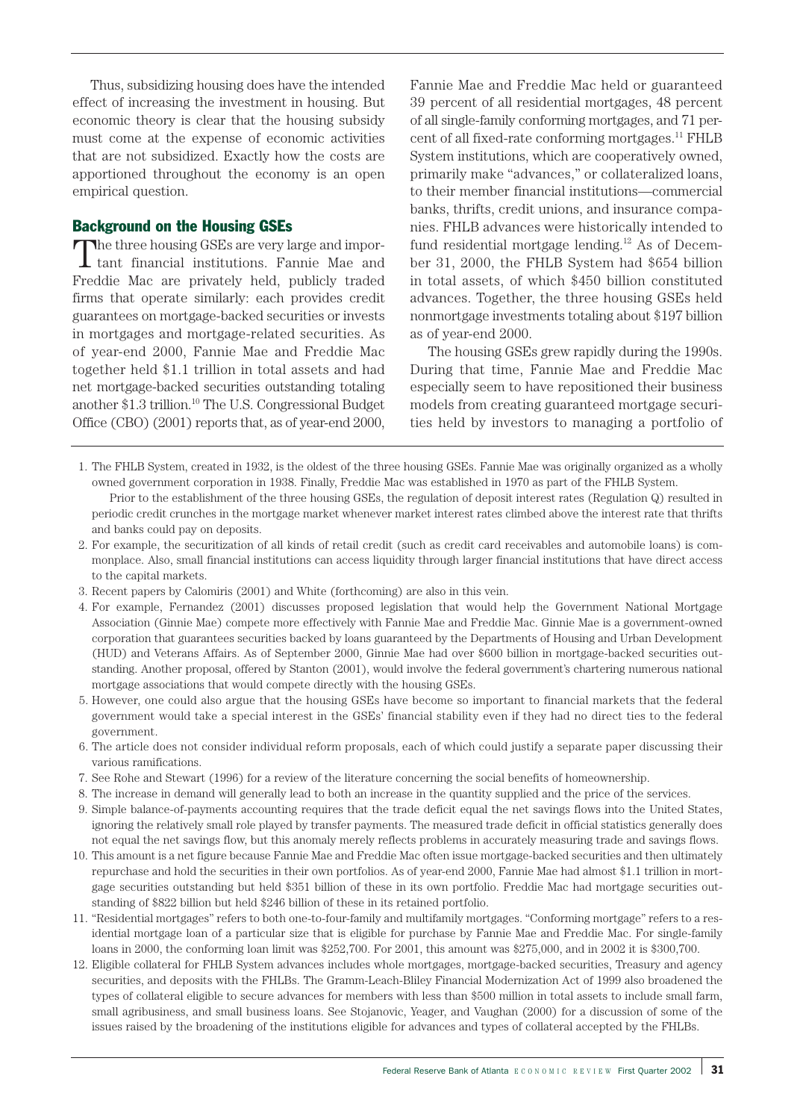Thus, subsidizing housing does have the intended effect of increasing the investment in housing. But economic theory is clear that the housing subsidy must come at the expense of economic activities that are not subsidized. Exactly how the costs are apportioned throughout the economy is an open empirical question.

# Background on the Housing GSEs

The three housing GSEs are very large and impor-tant financial institutions. Fannie Mae and Freddie Mac are privately held, publicly traded firms that operate similarly: each provides credit guarantees on mortgage-backed securities or invests in mortgages and mortgage-related securities. As of year-end 2000, Fannie Mae and Freddie Mac together held \$1.1 trillion in total assets and had net mortgage-backed securities outstanding totaling another \$1.3 trillion.10 The U.S. Congressional Budget Office (CBO) (2001) reports that, as of year-end 2000,

Fannie Mae and Freddie Mac held or guaranteed 39 percent of all residential mortgages, 48 percent of all single-family conforming mortgages, and 71 percent of all fixed-rate conforming mortgages.<sup>11</sup> FHLB System institutions, which are cooperatively owned, primarily make "advances," or collateralized loans, to their member financial institutions—commercial banks, thrifts, credit unions, and insurance companies. FHLB advances were historically intended to fund residential mortgage lending. $12$  As of December 31, 2000, the FHLB System had \$654 billion in total assets, of which \$450 billion constituted advances. Together, the three housing GSEs held nonmortgage investments totaling about \$197 billion as of year-end 2000.

The housing GSEs grew rapidly during the 1990s. During that time, Fannie Mae and Freddie Mac especially seem to have repositioned their business models from creating guaranteed mortgage securities held by investors to managing a portfolio of

- 1. The FHLB System, created in 1932, is the oldest of the three housing GSEs. Fannie Mae was originally organized as a wholly owned government corporation in 1938. Finally, Freddie Mac was established in 1970 as part of the FHLB System. Prior to the establishment of the three housing GSEs, the regulation of deposit interest rates (Regulation Q) resulted in
- periodic credit crunches in the mortgage market whenever market interest rates climbed above the interest rate that thrifts and banks could pay on deposits.
- 2. For example, the securitization of all kinds of retail credit (such as credit card receivables and automobile loans) is commonplace. Also, small financial institutions can access liquidity through larger financial institutions that have direct access to the capital markets.
- 3. Recent papers by Calomiris (2001) and White (forthcoming) are also in this vein.
- 4. For example, Fernandez (2001) discusses proposed legislation that would help the Government National Mortgage Association (Ginnie Mae) compete more effectively with Fannie Mae and Freddie Mac. Ginnie Mae is a government-owned corporation that guarantees securities backed by loans guaranteed by the Departments of Housing and Urban Development (HUD) and Veterans Affairs. As of September 2000, Ginnie Mae had over \$600 billion in mortgage-backed securities outstanding. Another proposal, offered by Stanton (2001), would involve the federal government's chartering numerous national mortgage associations that would compete directly with the housing GSEs.
- 5. However, one could also argue that the housing GSEs have become so important to financial markets that the federal government would take a special interest in the GSEs' financial stability even if they had no direct ties to the federal government.
- 6. The article does not consider individual reform proposals, each of which could justify a separate paper discussing their various ramifications.
- 7. See Rohe and Stewart (1996) for a review of the literature concerning the social benefits of homeownership.
- 8. The increase in demand will generally lead to both an increase in the quantity supplied and the price of the services.
- 9. Simple balance-of-payments accounting requires that the trade deficit equal the net savings flows into the United States, ignoring the relatively small role played by transfer payments. The measured trade deficit in official statistics generally does not equal the net savings flow, but this anomaly merely reflects problems in accurately measuring trade and savings flows.
- 10. This amount is a net figure because Fannie Mae and Freddie Mac often issue mortgage-backed securities and then ultimately repurchase and hold the securities in their own portfolios. As of year-end 2000, Fannie Mae had almost \$1.1 trillion in mortgage securities outstanding but held \$351 billion of these in its own portfolio. Freddie Mac had mortgage securities outstanding of \$822 billion but held \$246 billion of these in its retained portfolio.
- 11. "Residential mortgages" refers to both one-to-four-family and multifamily mortgages. "Conforming mortgage" refers to a residential mortgage loan of a particular size that is eligible for purchase by Fannie Mae and Freddie Mac. For single-family loans in 2000, the conforming loan limit was \$252,700. For 2001, this amount was \$275,000, and in 2002 it is \$300,700.
- 12. Eligible collateral for FHLB System advances includes whole mortgages, mortgage-backed securities, Treasury and agency securities, and deposits with the FHLBs. The Gramm-Leach-Bliley Financial Modernization Act of 1999 also broadened the types of collateral eligible to secure advances for members with less than \$500 million in total assets to include small farm, small agribusiness, and small business loans. See Stojanovic, Yeager, and Vaughan (2000) for a discussion of some of the issues raised by the broadening of the institutions eligible for advances and types of collateral accepted by the FHLBs.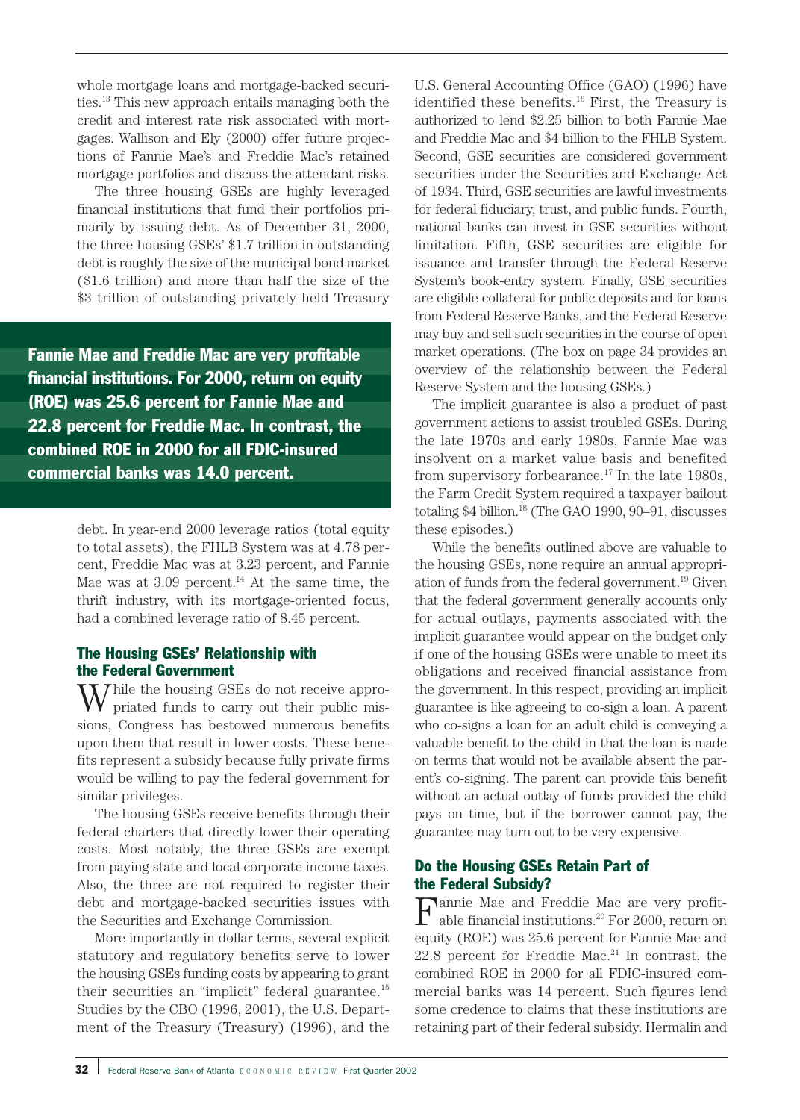whole mortgage loans and mortgage-backed securities.13 This new approach entails managing both the credit and interest rate risk associated with mortgages. Wallison and Ely (2000) offer future projections of Fannie Mae's and Freddie Mac's retained mortgage portfolios and discuss the attendant risks.

The three housing GSEs are highly leveraged financial institutions that fund their portfolios primarily by issuing debt. As of December 31, 2000, the three housing GSEs' \$1.7 trillion in outstanding debt is roughly the size of the municipal bond market (\$1.6 trillion) and more than half the size of the \$3 trillion of outstanding privately held Treasury

Fannie Mae and Freddie Mac are very profitable financial institutions. For 2000, return on equity (ROE) was 25.6 percent for Fannie Mae and 22.8 percent for Freddie Mac. In contrast, the combined ROE in 2000 for all FDIC-insured commercial banks was 14.0 percent.

> debt. In year-end 2000 leverage ratios (total equity to total assets), the FHLB System was at 4.78 percent, Freddie Mac was at 3.23 percent, and Fannie Mae was at  $3.09$  percent.<sup>14</sup> At the same time, the thrift industry, with its mortgage-oriented focus, had a combined leverage ratio of 8.45 percent.

# The Housing GSEs' Relationship with the Federal Government

Thile the housing GSEs do not receive appropriated funds to carry out their public missions, Congress has bestowed numerous benefits upon them that result in lower costs. These benefits represent a subsidy because fully private firms would be willing to pay the federal government for similar privileges.

The housing GSEs receive benefits through their federal charters that directly lower their operating costs. Most notably, the three GSEs are exempt from paying state and local corporate income taxes. Also, the three are not required to register their debt and mortgage-backed securities issues with the Securities and Exchange Commission.

More importantly in dollar terms, several explicit statutory and regulatory benefits serve to lower the housing GSEs funding costs by appearing to grant their securities an "implicit" federal guarantee.15 Studies by the CBO (1996, 2001), the U.S. Department of the Treasury (Treasury) (1996), and the

U.S. General Accounting Office (GAO) (1996) have identified these benefits. $16$  First, the Treasury is authorized to lend \$2.25 billion to both Fannie Mae and Freddie Mac and \$4 billion to the FHLB System. Second, GSE securities are considered government securities under the Securities and Exchange Act of 1934. Third, GSE securities are lawful investments for federal fiduciary, trust, and public funds. Fourth, national banks can invest in GSE securities without limitation. Fifth, GSE securities are eligible for issuance and transfer through the Federal Reserve System's book-entry system. Finally, GSE securities are eligible collateral for public deposits and for loans from Federal Reserve Banks, and the Federal Reserve may buy and sell such securities in the course of open market operations. (The box on page 34 provides an overview of the relationship between the Federal Reserve System and the housing GSEs.)

The implicit guarantee is also a product of past government actions to assist troubled GSEs. During the late 1970s and early 1980s, Fannie Mae was insolvent on a market value basis and benefited from supervisory for<br>bearance.<sup>17</sup> In the late 1980s, the Farm Credit System required a taxpayer bailout totaling \$4 billion.18 (The GAO 1990, 90–91, discusses these episodes.)

While the benefits outlined above are valuable to the housing GSEs, none require an annual appropriation of funds from the federal government.19 Given that the federal government generally accounts only for actual outlays, payments associated with the implicit guarantee would appear on the budget only if one of the housing GSEs were unable to meet its obligations and received financial assistance from the government. In this respect, providing an implicit guarantee is like agreeing to co-sign a loan. A parent who co-signs a loan for an adult child is conveying a valuable benefit to the child in that the loan is made on terms that would not be available absent the parent's co-signing. The parent can provide this benefit without an actual outlay of funds provided the child pays on time, but if the borrower cannot pay, the guarantee may turn out to be very expensive.

# Do the Housing GSEs Retain Part of the Federal Subsidy?

 ${\bf F}^{\rm annie~Mac~and~Freddie~Mac~are~very~profit-}$ able financial institutions. $^{20}$  For 2000, return on able financial institutions.20 For 2000, return on equity (ROE) was 25.6 percent for Fannie Mae and  $22.8$  percent for Freddie Mac.<sup>21</sup> In contrast, the combined ROE in 2000 for all FDIC-insured commercial banks was 14 percent. Such figures lend some credence to claims that these institutions are retaining part of their federal subsidy. Hermalin and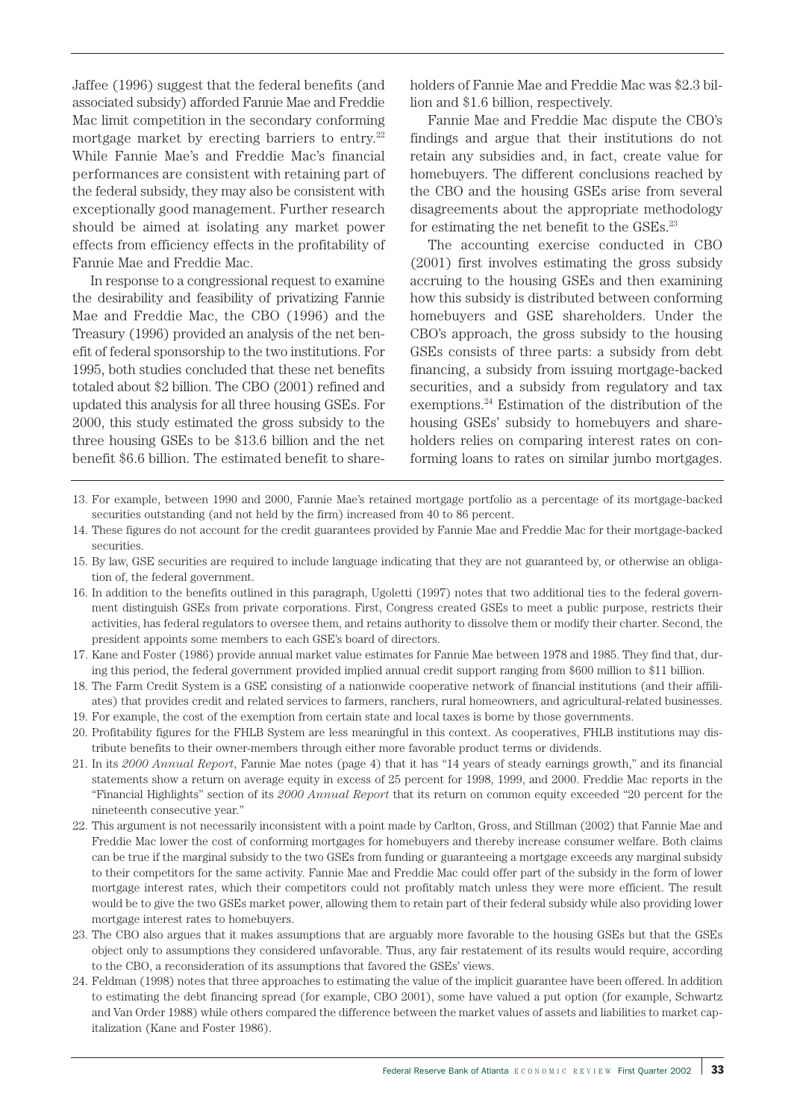Jaffee (1996) suggest that the federal benefits (and associated subsidy) afforded Fannie Mae and Freddie Mac limit competition in the secondary conforming mortgage market by erecting barriers to entry. $22$ While Fannie Mae's and Freddie Mac's financial performances are consistent with retaining part of the federal subsidy, they may also be consistent with exceptionally good management. Further research should be aimed at isolating any market power effects from efficiency effects in the profitability of Fannie Mae and Freddie Mac.

In response to a congressional request to examine the desirability and feasibility of privatizing Fannie Mae and Freddie Mac, the CBO (1996) and the Treasury (1996) provided an analysis of the net benefit of federal sponsorship to the two institutions. For 1995, both studies concluded that these net benefits totaled about \$2 billion. The CBO (2001) refined and updated this analysis for all three housing GSEs. For 2000, this study estimated the gross subsidy to the three housing GSEs to be \$13.6 billion and the net benefit \$6.6 billion. The estimated benefit to shareholders of Fannie Mae and Freddie Mac was \$2.3 billion and \$1.6 billion, respectively.

Fannie Mae and Freddie Mac dispute the CBO's findings and argue that their institutions do not retain any subsidies and, in fact, create value for homebuyers. The different conclusions reached by the CBO and the housing GSEs arise from several disagreements about the appropriate methodology for estimating the net benefit to the GSEs.<sup>23</sup>

The accounting exercise conducted in CBO (2001) first involves estimating the gross subsidy accruing to the housing GSEs and then examining how this subsidy is distributed between conforming homebuyers and GSE shareholders. Under the CBO's approach, the gross subsidy to the housing GSEs consists of three parts: a subsidy from debt financing, a subsidy from issuing mortgage-backed securities, and a subsidy from regulatory and tax exemptions.24 Estimation of the distribution of the housing GSEs' subsidy to homebuyers and shareholders relies on comparing interest rates on conforming loans to rates on similar jumbo mortgages.

- 13. For example, between 1990 and 2000, Fannie Mae's retained mortgage portfolio as a percentage of its mortgage-backed securities outstanding (and not held by the firm) increased from 40 to 86 percent.
- 14. These figures do not account for the credit guarantees provided by Fannie Mae and Freddie Mac for their mortgage-backed securities.
- 15. By law, GSE securities are required to include language indicating that they are not guaranteed by, or otherwise an obligation of, the federal government.
- 16. In addition to the benefits outlined in this paragraph, Ugoletti (1997) notes that two additional ties to the federal government distinguish GSEs from private corporations. First, Congress created GSEs to meet a public purpose, restricts their activities, has federal regulators to oversee them, and retains authority to dissolve them or modify their charter. Second, the president appoints some members to each GSE's board of directors.
- 17. Kane and Foster (1986) provide annual market value estimates for Fannie Mae between 1978 and 1985. They find that, during this period, the federal government provided implied annual credit support ranging from \$600 million to \$11 billion.
- 18. The Farm Credit System is a GSE consisting of a nationwide cooperative network of financial institutions (and their affiliates) that provides credit and related services to farmers, ranchers, rural homeowners, and agricultural-related businesses. 19. For example, the cost of the exemption from certain state and local taxes is borne by those governments.
- 20. Profitability figures for the FHLB System are less meaningful in this context. As cooperatives, FHLB institutions may distribute benefits to their owner-members through either more favorable product terms or dividends.
- 21. In its *2000 Annual Report*, Fannie Mae notes (page 4) that it has "14 years of steady earnings growth," and its financial statements show a return on average equity in excess of 25 percent for 1998, 1999, and 2000. Freddie Mac reports in the "Financial Highlights" section of its *2000 Annual Report* that its return on common equity exceeded "20 percent for the nineteenth consecutive year."
- 22. This argument is not necessarily inconsistent with a point made by Carlton, Gross, and Stillman (2002) that Fannie Mae and Freddie Mac lower the cost of conforming mortgages for homebuyers and thereby increase consumer welfare. Both claims can be true if the marginal subsidy to the two GSEs from funding or guaranteeing a mortgage exceeds any marginal subsidy to their competitors for the same activity. Fannie Mae and Freddie Mac could offer part of the subsidy in the form of lower mortgage interest rates, which their competitors could not profitably match unless they were more efficient. The result would be to give the two GSEs market power, allowing them to retain part of their federal subsidy while also providing lower mortgage interest rates to homebuyers.
- 23. The CBO also argues that it makes assumptions that are arguably more favorable to the housing GSEs but that the GSEs object only to assumptions they considered unfavorable. Thus, any fair restatement of its results would require, according to the CBO, a reconsideration of its assumptions that favored the GSEs' views.
- 24. Feldman (1998) notes that three approaches to estimating the value of the implicit guarantee have been offered. In addition to estimating the debt financing spread (for example, CBO 2001), some have valued a put option (for example, Schwartz and Van Order 1988) while others compared the difference between the market values of assets and liabilities to market capitalization (Kane and Foster 1986).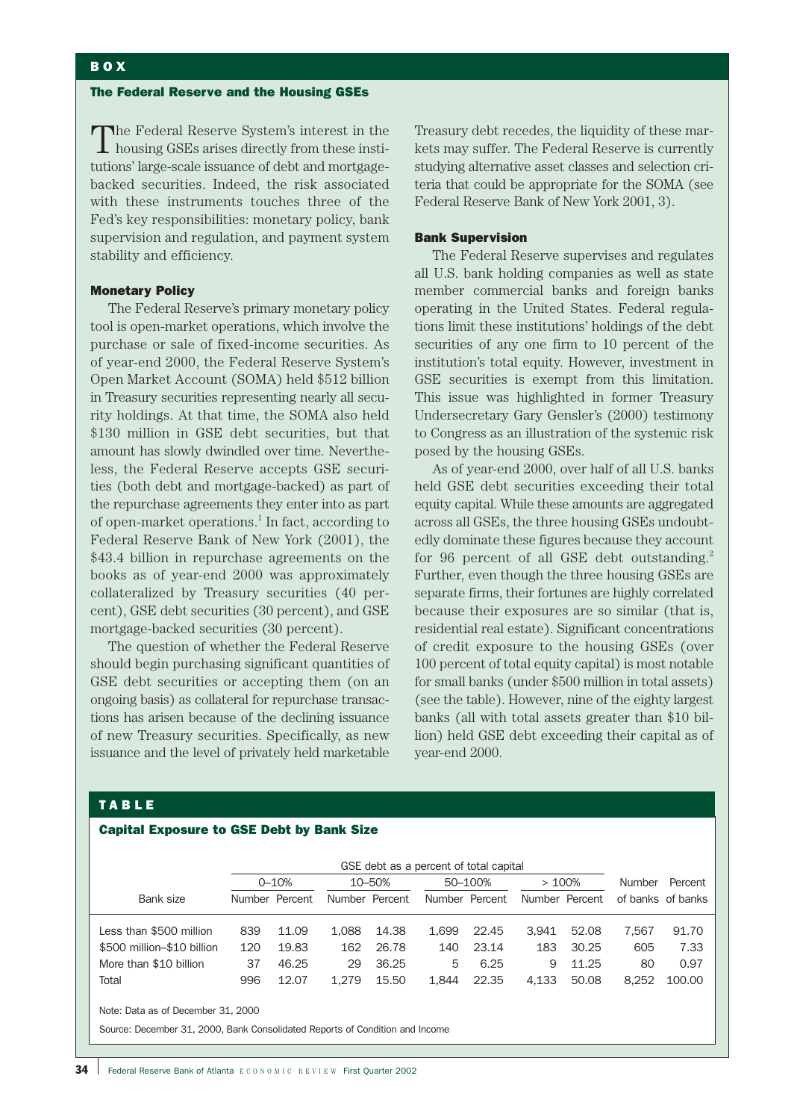#### The Federal Reserve and the Housing GSEs

The Federal Reserve System's interest in the housing GSEs arises directly from these institutions' large-scale issuance of debt and mortgagebacked securities. Indeed, the risk associated with these instruments touches three of the Fed's key responsibilities: monetary policy, bank supervision and regulation, and payment system stability and efficiency.

#### Monetary Policy

The Federal Reserve's primary monetary policy tool is open-market operations, which involve the purchase or sale of fixed-income securities. As of year-end 2000, the Federal Reserve System's Open Market Account (SOMA) held \$512 billion in Treasury securities representing nearly all security holdings. At that time, the SOMA also held \$130 million in GSE debt securities, but that amount has slowly dwindled over time. Nevertheless, the Federal Reserve accepts GSE securities (both debt and mortgage-backed) as part of the repurchase agreements they enter into as part of open-market operations.<sup>1</sup> In fact, according to Federal Reserve Bank of New York (2001), the \$43.4 billion in repurchase agreements on the books as of year-end 2000 was approximately collateralized by Treasury securities (40 percent), GSE debt securities (30 percent), and GSE mortgage-backed securities (30 percent).

The question of whether the Federal Reserve should begin purchasing significant quantities of GSE debt securities or accepting them (on an ongoing basis) as collateral for repurchase transactions has arisen because of the declining issuance of new Treasury securities. Specifically, as new issuance and the level of privately held marketable Treasury debt recedes, the liquidity of these markets may suffer. The Federal Reserve is currently studying alternative asset classes and selection criteria that could be appropriate for the SOMA (see Federal Reserve Bank of New York 2001, 3).

#### Bank Supervision

The Federal Reserve supervises and regulates all U.S. bank holding companies as well as state member commercial banks and foreign banks operating in the United States. Federal regulations limit these institutions' holdings of the debt securities of any one firm to 10 percent of the institution's total equity. However, investment in GSE securities is exempt from this limitation. This issue was highlighted in former Treasury Undersecretary Gary Gensler's (2000) testimony to Congress as an illustration of the systemic risk posed by the housing GSEs.

As of year-end 2000, over half of all U.S. banks held GSE debt securities exceeding their total equity capital. While these amounts are aggregated across all GSEs, the three housing GSEs undoubtedly dominate these figures because they account for 96 percent of all GSE debt outstanding.<sup>2</sup> Further, even though the three housing GSEs are separate firms, their fortunes are highly correlated because their exposures are so similar (that is, residential real estate). Significant concentrations of credit exposure to the housing GSEs (over 100 percent of total equity capital) is most notable for small banks (under \$500 million in total assets) (see the table). However, nine of the eighty largest banks (all with total assets greater than \$10 billion) held GSE debt exceeding their capital as of year-end 2000.

### TABLE

# Capital Exposure to GSE Debt by Bank Size

|                                                                              | GSE debt as a percent of total capital |                |        |                |         |                |       |                |        |                   |
|------------------------------------------------------------------------------|----------------------------------------|----------------|--------|----------------|---------|----------------|-------|----------------|--------|-------------------|
|                                                                              | $0 - 10%$                              |                | 10-50% |                | 50-100% |                | >100% |                | Number | Percent           |
| Bank size                                                                    |                                        | Number Percent |        | Number Percent |         | Number Percent |       | Number Percent |        | of banks of banks |
| Less than \$500 million                                                      | 839                                    | 11.09          | 1.088  | 14.38          | 1.699   | 22.45          | 3.941 | 52.08          | 7.567  | 91.70             |
| \$500 million-\$10 billion                                                   | 120                                    | 19.83          | 162    | 26.78          | 140     | 23.14          | 183   | 30.25          | 605    | 7.33              |
| More than \$10 billion                                                       | 37                                     | 46.25          | 29     | 36.25          | 5       | 6.25           | 9     | 11.25          | 80     | 0.97              |
| Total                                                                        | 996                                    | 12.07          | 1.279  | 15.50          | 1.844   | 22.35          | 4.133 | 50.08          | 8.252  | 100.00            |
| Note: Data as of December 31, 2000                                           |                                        |                |        |                |         |                |       |                |        |                   |
| Source: December 31, 2000, Bank Consolidated Reports of Condition and Income |                                        |                |        |                |         |                |       |                |        |                   |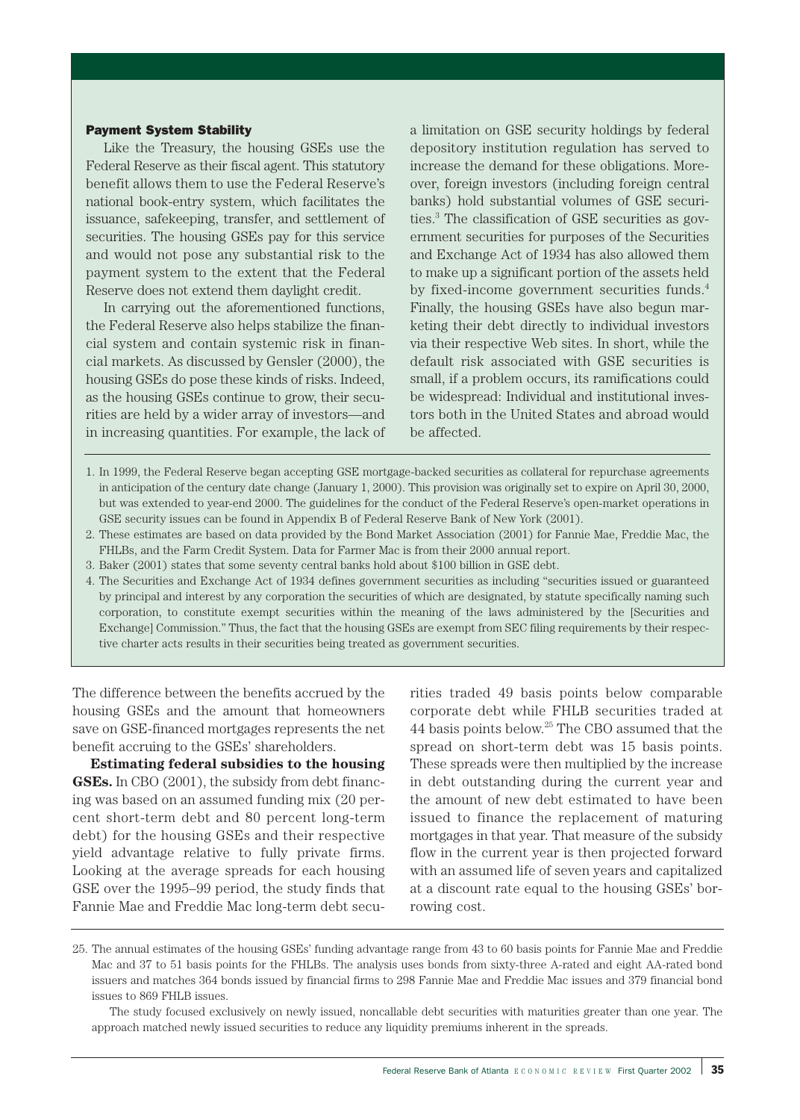## Payment System Stability

Like the Treasury, the housing GSEs use the Federal Reserve as their fiscal agent. This statutory benefit allows them to use the Federal Reserve's national book-entry system, which facilitates the issuance, safekeeping, transfer, and settlement of securities. The housing GSEs pay for this service and would not pose any substantial risk to the payment system to the extent that the Federal Reserve does not extend them daylight credit.

In carrying out the aforementioned functions, the Federal Reserve also helps stabilize the financial system and contain systemic risk in financial markets. As discussed by Gensler (2000), the housing GSEs do pose these kinds of risks. Indeed, as the housing GSEs continue to grow, their securities are held by a wider array of investors—and in increasing quantities. For example, the lack of a limitation on GSE security holdings by federal depository institution regulation has served to increase the demand for these obligations. Moreover, foreign investors (including foreign central banks) hold substantial volumes of GSE securities.3 The classification of GSE securities as government securities for purposes of the Securities and Exchange Act of 1934 has also allowed them to make up a significant portion of the assets held by fixed-income government securities funds.<sup>4</sup> Finally, the housing GSEs have also begun marketing their debt directly to individual investors via their respective Web sites. In short, while the default risk associated with GSE securities is small, if a problem occurs, its ramifications could be widespread: Individual and institutional investors both in the United States and abroad would be affected.

- 1. In 1999, the Federal Reserve began accepting GSE mortgage-backed securities as collateral for repurchase agreements in anticipation of the century date change (January 1, 2000). This provision was originally set to expire on April 30, 2000, but was extended to year-end 2000. The guidelines for the conduct of the Federal Reserve's open-market operations in GSE security issues can be found in Appendix B of Federal Reserve Bank of New York (2001).
- 2. These estimates are based on data provided by the Bond Market Association (2001) for Fannie Mae, Freddie Mac, the FHLBs, and the Farm Credit System. Data for Farmer Mac is from their 2000 annual report.
- 3. Baker (2001) states that some seventy central banks hold about \$100 billion in GSE debt.
- 4. The Securities and Exchange Act of 1934 defines government securities as including "securities issued or guaranteed by principal and interest by any corporation the securities of which are designated, by statute specifically naming such corporation, to constitute exempt securities within the meaning of the laws administered by the [Securities and Exchange] Commission." Thus, the fact that the housing GSEs are exempt from SEC filing requirements by their respective charter acts results in their securities being treated as government securities.

The difference between the benefits accrued by the housing GSEs and the amount that homeowners save on GSE-financed mortgages represents the net benefit accruing to the GSEs' shareholders.

**Estimating federal subsidies to the housing GSEs.** In CBO (2001), the subsidy from debt financing was based on an assumed funding mix (20 percent short-term debt and 80 percent long-term debt) for the housing GSEs and their respective yield advantage relative to fully private firms. Looking at the average spreads for each housing GSE over the 1995–99 period, the study finds that Fannie Mae and Freddie Mac long-term debt securities traded 49 basis points below comparable corporate debt while FHLB securities traded at 44 basis points below.25 The CBO assumed that the spread on short-term debt was 15 basis points. These spreads were then multiplied by the increase in debt outstanding during the current year and the amount of new debt estimated to have been issued to finance the replacement of maturing mortgages in that year. That measure of the subsidy flow in the current year is then projected forward with an assumed life of seven years and capitalized at a discount rate equal to the housing GSEs' borrowing cost.

The study focused exclusively on newly issued, noncallable debt securities with maturities greater than one year. The approach matched newly issued securities to reduce any liquidity premiums inherent in the spreads.

<sup>25.</sup> The annual estimates of the housing GSEs' funding advantage range from 43 to 60 basis points for Fannie Mae and Freddie Mac and 37 to 51 basis points for the FHLBs. The analysis uses bonds from sixty-three A-rated and eight AA-rated bond issuers and matches 364 bonds issued by financial firms to 298 Fannie Mae and Freddie Mac issues and 379 financial bond issues to 869 FHLB issues.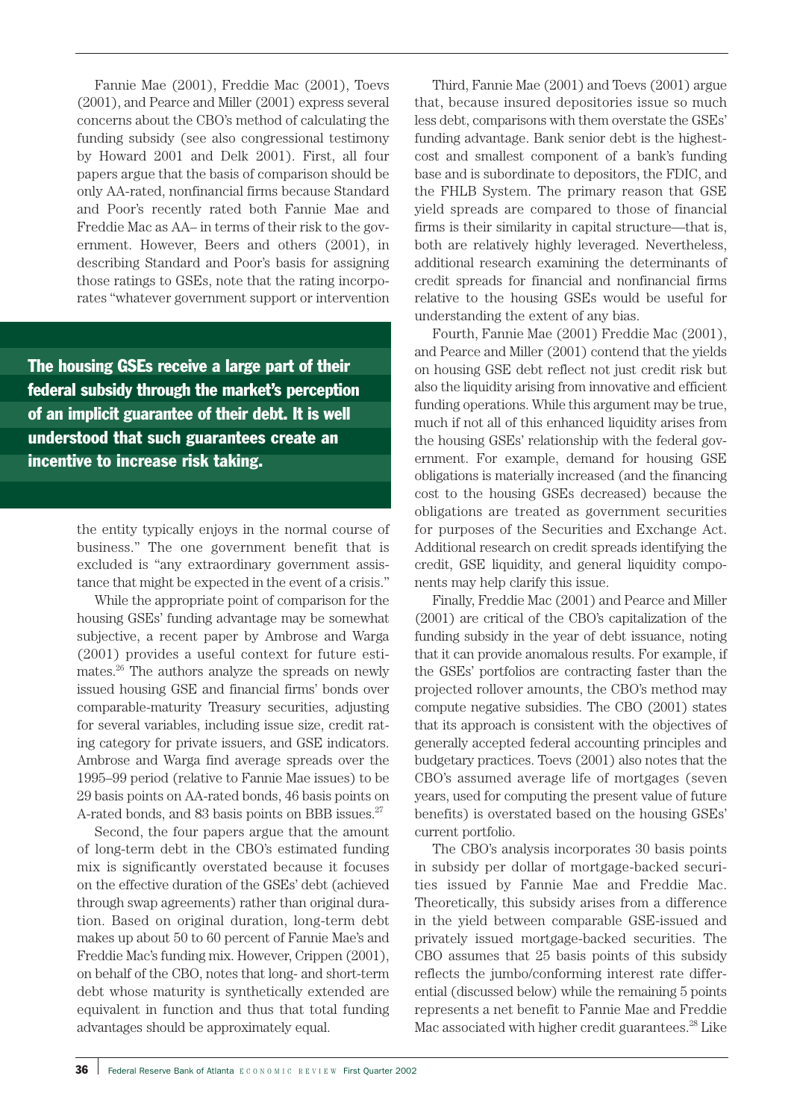Fannie Mae (2001), Freddie Mac (2001), Toevs (2001), and Pearce and Miller (2001) express several concerns about the CBO's method of calculating the funding subsidy (see also congressional testimony by Howard 2001 and Delk 2001). First, all four papers argue that the basis of comparison should be only AA-rated, nonfinancial firms because Standard and Poor's recently rated both Fannie Mae and Freddie Mac as AA– in terms of their risk to the government. However, Beers and others (2001), in describing Standard and Poor's basis for assigning those ratings to GSEs, note that the rating incorporates "whatever government support or intervention

The housing GSEs receive a large part of their federal subsidy through the market's perception of an implicit guarantee of their debt. It is well understood that such guarantees create an incentive to increase risk taking.

> the entity typically enjoys in the normal course of business." The one government benefit that is excluded is "any extraordinary government assistance that might be expected in the event of a crisis."

> While the appropriate point of comparison for the housing GSEs' funding advantage may be somewhat subjective, a recent paper by Ambrose and Warga (2001) provides a useful context for future estimates.26 The authors analyze the spreads on newly issued housing GSE and financial firms' bonds over comparable-maturity Treasury securities, adjusting for several variables, including issue size, credit rating category for private issuers, and GSE indicators. Ambrose and Warga find average spreads over the 1995–99 period (relative to Fannie Mae issues) to be 29 basis points on AA-rated bonds, 46 basis points on A-rated bonds, and 83 basis points on BBB issues.<sup>27</sup>

> Second, the four papers argue that the amount of long-term debt in the CBO's estimated funding mix is significantly overstated because it focuses on the effective duration of the GSEs' debt (achieved through swap agreements) rather than original duration. Based on original duration, long-term debt makes up about 50 to 60 percent of Fannie Mae's and Freddie Mac's funding mix. However, Crippen (2001), on behalf of the CBO, notes that long- and short-term debt whose maturity is synthetically extended are equivalent in function and thus that total funding advantages should be approximately equal.

Third, Fannie Mae (2001) and Toevs (2001) argue that, because insured depositories issue so much less debt, comparisons with them overstate the GSEs' funding advantage. Bank senior debt is the highestcost and smallest component of a bank's funding base and is subordinate to depositors, the FDIC, and the FHLB System. The primary reason that GSE yield spreads are compared to those of financial firms is their similarity in capital structure—that is, both are relatively highly leveraged. Nevertheless, additional research examining the determinants of credit spreads for financial and nonfinancial firms relative to the housing GSEs would be useful for understanding the extent of any bias.

Fourth, Fannie Mae (2001) Freddie Mac (2001), and Pearce and Miller (2001) contend that the yields on housing GSE debt reflect not just credit risk but also the liquidity arising from innovative and efficient funding operations. While this argument may be true, much if not all of this enhanced liquidity arises from the housing GSEs' relationship with the federal government. For example, demand for housing GSE obligations is materially increased (and the financing cost to the housing GSEs decreased) because the obligations are treated as government securities for purposes of the Securities and Exchange Act. Additional research on credit spreads identifying the credit, GSE liquidity, and general liquidity components may help clarify this issue.

Finally, Freddie Mac (2001) and Pearce and Miller (2001) are critical of the CBO's capitalization of the funding subsidy in the year of debt issuance, noting that it can provide anomalous results. For example, if the GSEs' portfolios are contracting faster than the projected rollover amounts, the CBO's method may compute negative subsidies. The CBO (2001) states that its approach is consistent with the objectives of generally accepted federal accounting principles and budgetary practices. Toevs (2001) also notes that the CBO's assumed average life of mortgages (seven years, used for computing the present value of future benefits) is overstated based on the housing GSEs' current portfolio.

The CBO's analysis incorporates 30 basis points in subsidy per dollar of mortgage-backed securities issued by Fannie Mae and Freddie Mac. Theoretically, this subsidy arises from a difference in the yield between comparable GSE-issued and privately issued mortgage-backed securities. The CBO assumes that 25 basis points of this subsidy reflects the jumbo/conforming interest rate differential (discussed below) while the remaining 5 points represents a net benefit to Fannie Mae and Freddie Mac associated with higher credit guarantees.<sup>28</sup> Like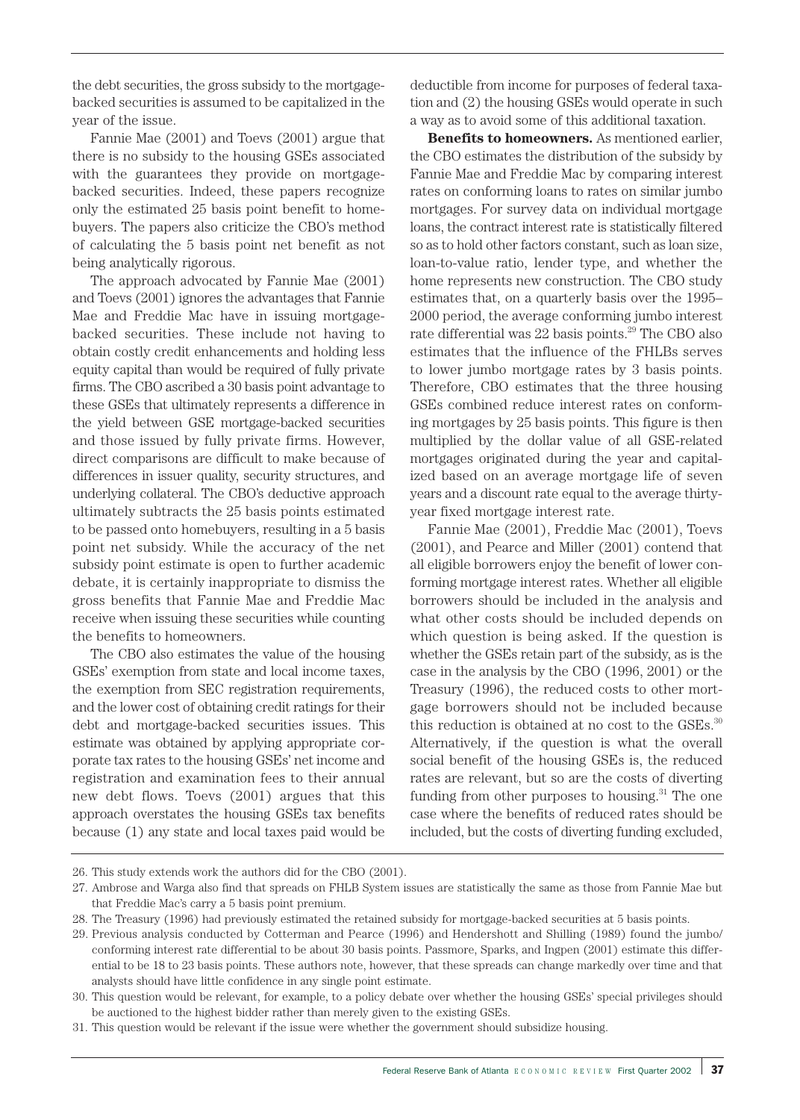the debt securities, the gross subsidy to the mortgagebacked securities is assumed to be capitalized in the year of the issue.

Fannie Mae (2001) and Toevs (2001) argue that there is no subsidy to the housing GSEs associated with the guarantees they provide on mortgagebacked securities. Indeed, these papers recognize only the estimated 25 basis point benefit to homebuyers. The papers also criticize the CBO's method of calculating the 5 basis point net benefit as not being analytically rigorous.

The approach advocated by Fannie Mae (2001) and Toevs (2001) ignores the advantages that Fannie Mae and Freddie Mac have in issuing mortgagebacked securities. These include not having to obtain costly credit enhancements and holding less equity capital than would be required of fully private firms. The CBO ascribed a 30 basis point advantage to these GSEs that ultimately represents a difference in the yield between GSE mortgage-backed securities and those issued by fully private firms. However, direct comparisons are difficult to make because of differences in issuer quality, security structures, and underlying collateral. The CBO's deductive approach ultimately subtracts the 25 basis points estimated to be passed onto homebuyers, resulting in a 5 basis point net subsidy. While the accuracy of the net subsidy point estimate is open to further academic debate, it is certainly inappropriate to dismiss the gross benefits that Fannie Mae and Freddie Mac receive when issuing these securities while counting the benefits to homeowners.

The CBO also estimates the value of the housing GSEs' exemption from state and local income taxes, the exemption from SEC registration requirements, and the lower cost of obtaining credit ratings for their debt and mortgage-backed securities issues. This estimate was obtained by applying appropriate corporate tax rates to the housing GSEs' net income and registration and examination fees to their annual new debt flows. Toevs (2001) argues that this approach overstates the housing GSEs tax benefits because (1) any state and local taxes paid would be deductible from income for purposes of federal taxation and (2) the housing GSEs would operate in such a way as to avoid some of this additional taxation.

**Benefits to homeowners.** As mentioned earlier, the CBO estimates the distribution of the subsidy by Fannie Mae and Freddie Mac by comparing interest rates on conforming loans to rates on similar jumbo mortgages. For survey data on individual mortgage loans, the contract interest rate is statistically filtered so as to hold other factors constant, such as loan size, loan-to-value ratio, lender type, and whether the home represents new construction. The CBO study estimates that, on a quarterly basis over the 1995– 2000 period, the average conforming jumbo interest rate differential was 22 basis points.<sup>29</sup> The CBO also estimates that the influence of the FHLBs serves to lower jumbo mortgage rates by 3 basis points. Therefore, CBO estimates that the three housing GSEs combined reduce interest rates on conforming mortgages by 25 basis points. This figure is then multiplied by the dollar value of all GSE-related mortgages originated during the year and capitalized based on an average mortgage life of seven years and a discount rate equal to the average thirtyyear fixed mortgage interest rate.

Fannie Mae (2001), Freddie Mac (2001), Toevs (2001), and Pearce and Miller (2001) contend that all eligible borrowers enjoy the benefit of lower conforming mortgage interest rates. Whether all eligible borrowers should be included in the analysis and what other costs should be included depends on which question is being asked. If the question is whether the GSEs retain part of the subsidy, as is the case in the analysis by the CBO (1996, 2001) or the Treasury (1996), the reduced costs to other mortgage borrowers should not be included because this reduction is obtained at no cost to the GSEs.<sup>30</sup> Alternatively, if the question is what the overall social benefit of the housing GSEs is, the reduced rates are relevant, but so are the costs of diverting funding from other purposes to housing.<sup>31</sup> The one case where the benefits of reduced rates should be included, but the costs of diverting funding excluded,

26. This study extends work the authors did for the CBO (2001).

31. This question would be relevant if the issue were whether the government should subsidize housing.

<sup>27.</sup> Ambrose and Warga also find that spreads on FHLB System issues are statistically the same as those from Fannie Mae but that Freddie Mac's carry a 5 basis point premium.

<sup>28.</sup> The Treasury (1996) had previously estimated the retained subsidy for mortgage-backed securities at 5 basis points.

<sup>29.</sup> Previous analysis conducted by Cotterman and Pearce (1996) and Hendershott and Shilling (1989) found the jumbo/ conforming interest rate differential to be about 30 basis points. Passmore, Sparks, and Ingpen (2001) estimate this differential to be 18 to 23 basis points. These authors note, however, that these spreads can change markedly over time and that analysts should have little confidence in any single point estimate.

<sup>30.</sup> This question would be relevant, for example, to a policy debate over whether the housing GSEs' special privileges should be auctioned to the highest bidder rather than merely given to the existing GSEs.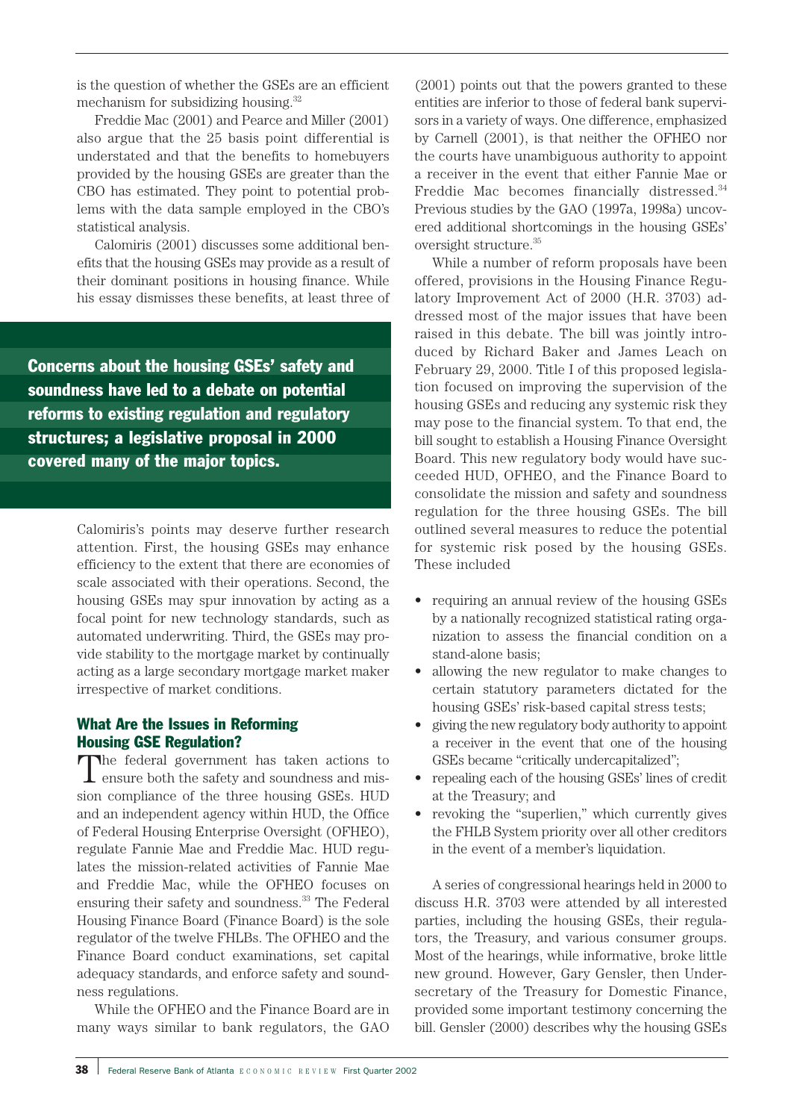is the question of whether the GSEs are an efficient mechanism for subsidizing housing.<sup>32</sup>

Freddie Mac (2001) and Pearce and Miller (2001) also argue that the 25 basis point differential is understated and that the benefits to homebuyers provided by the housing GSEs are greater than the CBO has estimated. They point to potential problems with the data sample employed in the CBO's statistical analysis.

Calomiris (2001) discusses some additional benefits that the housing GSEs may provide as a result of their dominant positions in housing finance. While his essay dismisses these benefits, at least three of

Concerns about the housing GSEs' safety and soundness have led to a debate on potential reforms to existing regulation and regulatory structures; a legislative proposal in 2000 covered many of the major topics.

> Calomiris's points may deserve further research attention. First, the housing GSEs may enhance efficiency to the extent that there are economies of scale associated with their operations. Second, the housing GSEs may spur innovation by acting as a focal point for new technology standards, such as automated underwriting. Third, the GSEs may provide stability to the mortgage market by continually acting as a large secondary mortgage market maker irrespective of market conditions.

# What Are the Issues in Reforming Housing GSE Regulation?

The federal government has taken actions to  $\perp$  ensure both the safety and soundness and mission compliance of the three housing GSEs. HUD and an independent agency within HUD, the Office of Federal Housing Enterprise Oversight (OFHEO), regulate Fannie Mae and Freddie Mac. HUD regulates the mission-related activities of Fannie Mae and Freddie Mac, while the OFHEO focuses on ensuring their safety and soundness.<sup>33</sup> The Federal Housing Finance Board (Finance Board) is the sole regulator of the twelve FHLBs. The OFHEO and the Finance Board conduct examinations, set capital adequacy standards, and enforce safety and soundness regulations.

While the OFHEO and the Finance Board are in many ways similar to bank regulators, the GAO

(2001) points out that the powers granted to these entities are inferior to those of federal bank supervisors in a variety of ways. One difference, emphasized by Carnell (2001), is that neither the OFHEO nor the courts have unambiguous authority to appoint a receiver in the event that either Fannie Mae or Freddie Mac becomes financially distressed.<sup>34</sup> Previous studies by the GAO (1997a, 1998a) uncovered additional shortcomings in the housing GSEs' oversight structure.<sup>35</sup>

While a number of reform proposals have been offered, provisions in the Housing Finance Regulatory Improvement Act of 2000 (H.R. 3703) addressed most of the major issues that have been raised in this debate. The bill was jointly introduced by Richard Baker and James Leach on February 29, 2000. Title I of this proposed legislation focused on improving the supervision of the housing GSEs and reducing any systemic risk they may pose to the financial system. To that end, the bill sought to establish a Housing Finance Oversight Board. This new regulatory body would have succeeded HUD, OFHEO, and the Finance Board to consolidate the mission and safety and soundness regulation for the three housing GSEs. The bill outlined several measures to reduce the potential for systemic risk posed by the housing GSEs. These included

- requiring an annual review of the housing GSEs by a nationally recognized statistical rating organization to assess the financial condition on a stand-alone basis;
- allowing the new regulator to make changes to certain statutory parameters dictated for the housing GSEs' risk-based capital stress tests;
- giving the new regulatory body authority to appoint a receiver in the event that one of the housing GSEs became "critically undercapitalized";
- repealing each of the housing GSEs' lines of credit at the Treasury; and
- revoking the "superlien," which currently gives the FHLB System priority over all other creditors in the event of a member's liquidation.

A series of congressional hearings held in 2000 to discuss H.R. 3703 were attended by all interested parties, including the housing GSEs, their regulators, the Treasury, and various consumer groups. Most of the hearings, while informative, broke little new ground. However, Gary Gensler, then Undersecretary of the Treasury for Domestic Finance, provided some important testimony concerning the bill. Gensler (2000) describes why the housing GSEs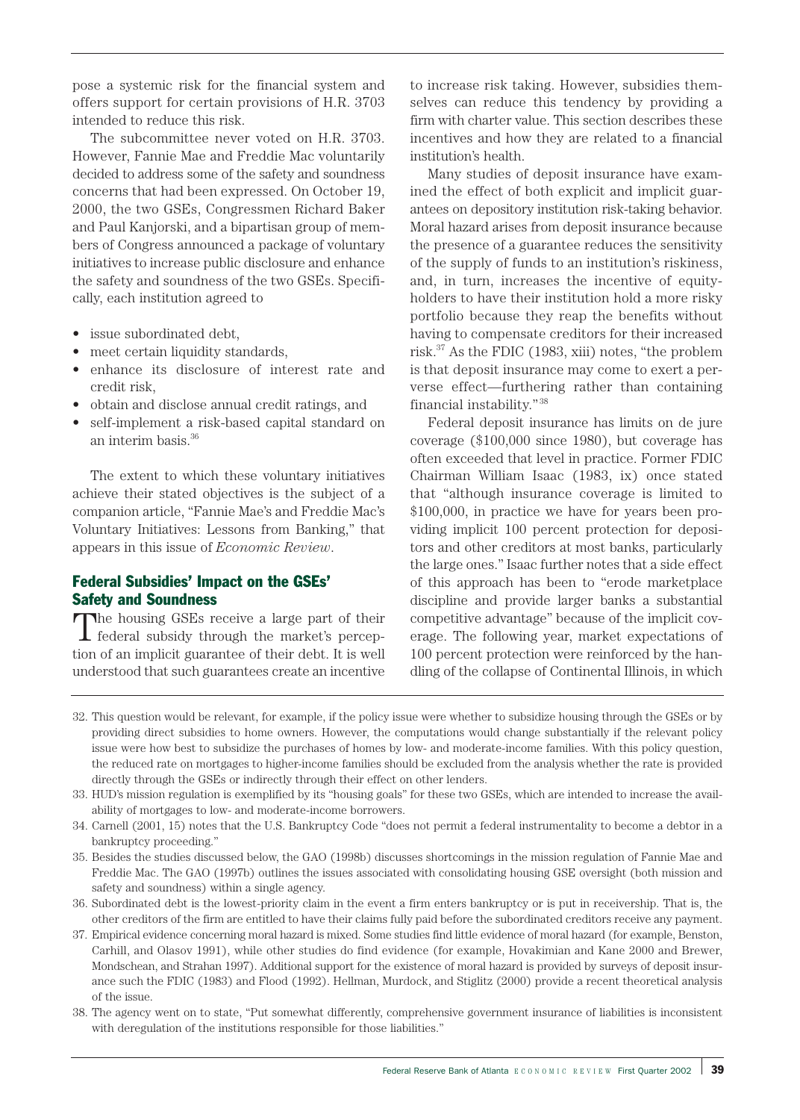pose a systemic risk for the financial system and offers support for certain provisions of H.R. 3703 intended to reduce this risk.

The subcommittee never voted on H.R. 3703. However, Fannie Mae and Freddie Mac voluntarily decided to address some of the safety and soundness concerns that had been expressed. On October 19, 2000, the two GSEs, Congressmen Richard Baker and Paul Kanjorski, and a bipartisan group of members of Congress announced a package of voluntary initiatives to increase public disclosure and enhance the safety and soundness of the two GSEs. Specifically, each institution agreed to

- issue subordinated debt,
- meet certain liquidity standards,
- enhance its disclosure of interest rate and credit risk,
- obtain and disclose annual credit ratings, and
- self-implement a risk-based capital standard on an interim basis.<sup>36</sup>

The extent to which these voluntary initiatives achieve their stated objectives is the subject of a companion article, "Fannie Mae's and Freddie Mac's Voluntary Initiatives: Lessons from Banking," that appears in this issue of *Economic Review*.

# Federal Subsidies' Impact on the GSEs' Safety and Soundness

The housing GSEs receive a large part of their federal subsidy through the market's perception of an implicit guarantee of their debt. It is well understood that such guarantees create an incentive

to increase risk taking. However, subsidies themselves can reduce this tendency by providing a firm with charter value. This section describes these incentives and how they are related to a financial institution's health.

Many studies of deposit insurance have examined the effect of both explicit and implicit guarantees on depository institution risk-taking behavior. Moral hazard arises from deposit insurance because the presence of a guarantee reduces the sensitivity of the supply of funds to an institution's riskiness, and, in turn, increases the incentive of equityholders to have their institution hold a more risky portfolio because they reap the benefits without having to compensate creditors for their increased risk.37 As the FDIC (1983, xiii) notes, "the problem is that deposit insurance may come to exert a perverse effect—furthering rather than containing financial instability." <sup>38</sup>

Federal deposit insurance has limits on de jure coverage (\$100,000 since 1980), but coverage has often exceeded that level in practice. Former FDIC Chairman William Isaac (1983, ix) once stated that "although insurance coverage is limited to \$100,000, in practice we have for years been providing implicit 100 percent protection for depositors and other creditors at most banks, particularly the large ones." Isaac further notes that a side effect of this approach has been to "erode marketplace discipline and provide larger banks a substantial competitive advantage" because of the implicit coverage. The following year, market expectations of 100 percent protection were reinforced by the handling of the collapse of Continental Illinois, in which

32. This question would be relevant, for example, if the policy issue were whether to subsidize housing through the GSEs or by providing direct subsidies to home owners. However, the computations would change substantially if the relevant policy issue were how best to subsidize the purchases of homes by low- and moderate-income families. With this policy question, the reduced rate on mortgages to higher-income families should be excluded from the analysis whether the rate is provided directly through the GSEs or indirectly through their effect on other lenders.

- 35. Besides the studies discussed below, the GAO (1998b) discusses shortcomings in the mission regulation of Fannie Mae and Freddie Mac. The GAO (1997b) outlines the issues associated with consolidating housing GSE oversight (both mission and safety and soundness) within a single agency.
- 36. Subordinated debt is the lowest-priority claim in the event a firm enters bankruptcy or is put in receivership. That is, the other creditors of the firm are entitled to have their claims fully paid before the subordinated creditors receive any payment.
- 37. Empirical evidence concerning moral hazard is mixed. Some studies find little evidence of moral hazard (for example, Benston, Carhill, and Olasov 1991), while other studies do find evidence (for example, Hovakimian and Kane 2000 and Brewer, Mondschean, and Strahan 1997). Additional support for the existence of moral hazard is provided by surveys of deposit insurance such the FDIC (1983) and Flood (1992). Hellman, Murdock, and Stiglitz (2000) provide a recent theoretical analysis of the issue.
- 38. The agency went on to state, "Put somewhat differently, comprehensive government insurance of liabilities is inconsistent with deregulation of the institutions responsible for those liabilities."

<sup>33.</sup> HUD's mission regulation is exemplified by its "housing goals" for these two GSEs, which are intended to increase the availability of mortgages to low- and moderate-income borrowers.

<sup>34.</sup> Carnell (2001, 15) notes that the U.S. Bankruptcy Code "does not permit a federal instrumentality to become a debtor in a bankruptcy proceeding."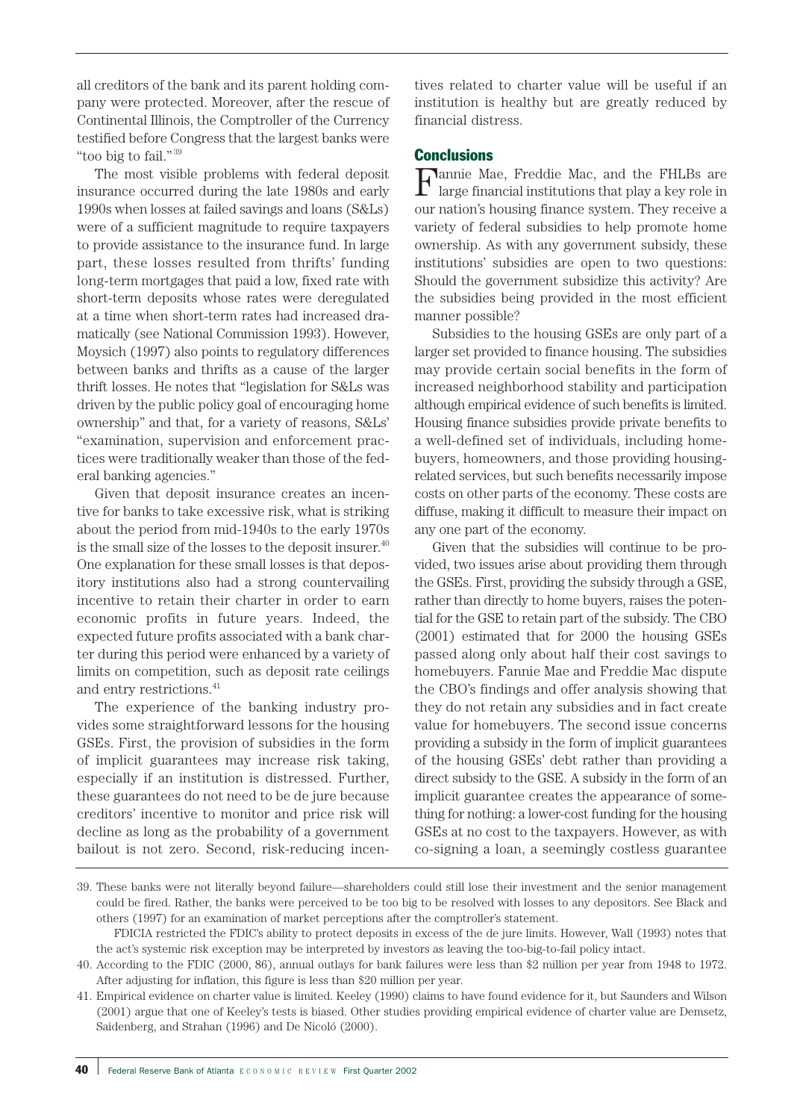all creditors of the bank and its parent holding company were protected. Moreover, after the rescue of Continental Illinois, the Comptroller of the Currency testified before Congress that the largest banks were "too big to fail."<sup>39</sup>

The most visible problems with federal deposit insurance occurred during the late 1980s and early 1990s when losses at failed savings and loans (S&Ls) were of a sufficient magnitude to require taxpayers to provide assistance to the insurance fund. In large part, these losses resulted from thrifts' funding long-term mortgages that paid a low, fixed rate with short-term deposits whose rates were deregulated at a time when short-term rates had increased dramatically (see National Commission 1993). However, Moysich (1997) also points to regulatory differences between banks and thrifts as a cause of the larger thrift losses. He notes that "legislation for S&Ls was driven by the public policy goal of encouraging home ownership" and that, for a variety of reasons, S&Ls' "examination, supervision and enforcement practices were traditionally weaker than those of the federal banking agencies."

Given that deposit insurance creates an incentive for banks to take excessive risk, what is striking about the period from mid-1940s to the early 1970s is the small size of the losses to the deposit insurer. $40$ One explanation for these small losses is that depository institutions also had a strong countervailing incentive to retain their charter in order to earn economic profits in future years. Indeed, the expected future profits associated with a bank charter during this period were enhanced by a variety of limits on competition, such as deposit rate ceilings and entry restrictions.<sup>41</sup>

The experience of the banking industry provides some straightforward lessons for the housing GSEs. First, the provision of subsidies in the form of implicit guarantees may increase risk taking, especially if an institution is distressed. Further, these guarantees do not need to be de jure because creditors' incentive to monitor and price risk will decline as long as the probability of a government bailout is not zero. Second, risk-reducing incentives related to charter value will be useful if an institution is healthy but are greatly reduced by financial distress.

# **Conclusions**

Fannie Mae, Freddie Mac, and the FHLBs are large financial institutions that play a key role in our nation's housing finance system. They receive a variety of federal subsidies to help promote home ownership. As with any government subsidy, these institutions' subsidies are open to two questions: Should the government subsidize this activity? Are the subsidies being provided in the most efficient manner possible?

Subsidies to the housing GSEs are only part of a larger set provided to finance housing. The subsidies may provide certain social benefits in the form of increased neighborhood stability and participation although empirical evidence of such benefits is limited. Housing finance subsidies provide private benefits to a well-defined set of individuals, including homebuyers, homeowners, and those providing housingrelated services, but such benefits necessarily impose costs on other parts of the economy. These costs are diffuse, making it difficult to measure their impact on any one part of the economy.

Given that the subsidies will continue to be provided, two issues arise about providing them through the GSEs. First, providing the subsidy through a GSE, rather than directly to home buyers, raises the potential for the GSE to retain part of the subsidy. The CBO (2001) estimated that for 2000 the housing GSEs passed along only about half their cost savings to homebuyers. Fannie Mae and Freddie Mac dispute the CBO's findings and offer analysis showing that they do not retain any subsidies and in fact create value for homebuyers. The second issue concerns providing a subsidy in the form of implicit guarantees of the housing GSEs' debt rather than providing a direct subsidy to the GSE. A subsidy in the form of an implicit guarantee creates the appearance of something for nothing: a lower-cost funding for the housing GSEs at no cost to the taxpayers. However, as with co-signing a loan, a seemingly costless guarantee

<sup>39.</sup> These banks were not literally beyond failure—shareholders could still lose their investment and the senior management could be fired. Rather, the banks were perceived to be too big to be resolved with losses to any depositors. See Black and others (1997) for an examination of market perceptions after the comptroller's statement.

FDICIA restricted the FDIC's ability to protect deposits in excess of the de jure limits. However, Wall (1993) notes that the act's systemic risk exception may be interpreted by investors as leaving the too-big-to-fail policy intact.

<sup>40.</sup> According to the FDIC (2000, 86), annual outlays for bank failures were less than \$2 million per year from 1948 to 1972. After adjusting for inflation, this figure is less than \$20 million per year.

<sup>41.</sup> Empirical evidence on charter value is limited. Keeley (1990) claims to have found evidence for it, but Saunders and Wilson (2001) argue that one of Keeley's tests is biased. Other studies providing empirical evidence of charter value are Demsetz, Saidenberg, and Strahan (1996) and De Nicoló (2000).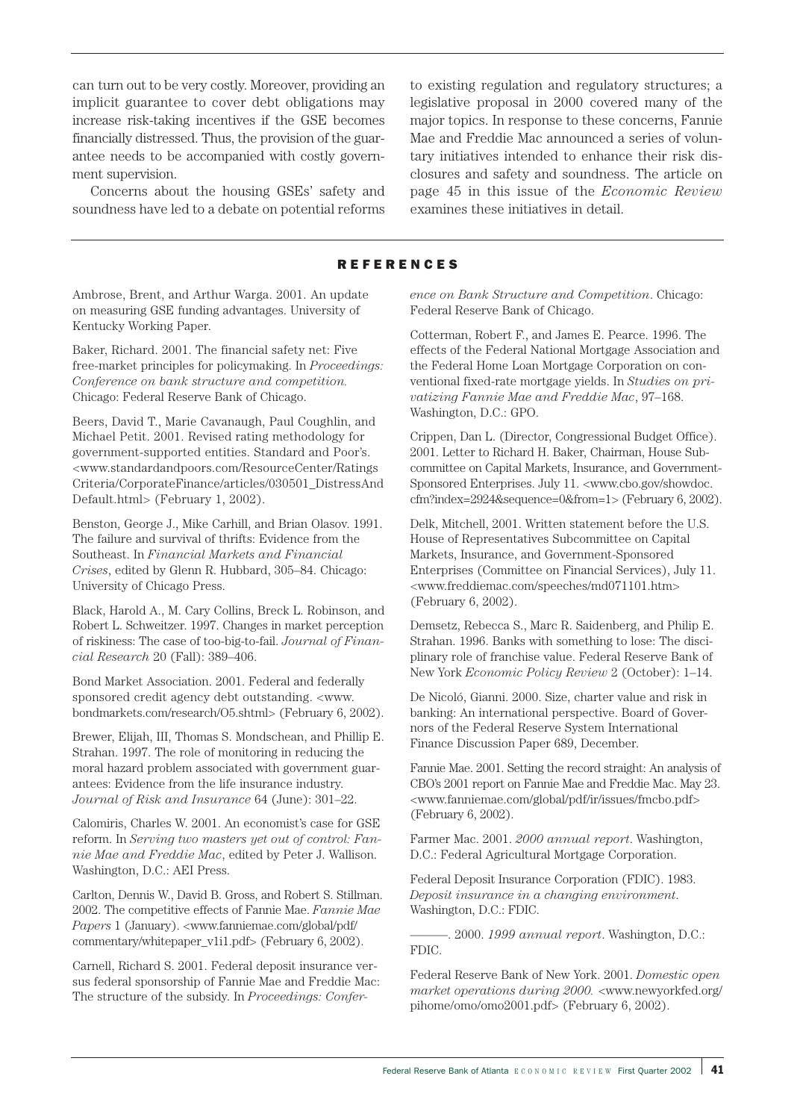can turn out to be very costly. Moreover, providing an implicit guarantee to cover debt obligations may increase risk-taking incentives if the GSE becomes financially distressed. Thus, the provision of the guarantee needs to be accompanied with costly government supervision.

Concerns about the housing GSEs' safety and soundness have led to a debate on potential reforms

to existing regulation and regulatory structures; a legislative proposal in 2000 covered many of the major topics. In response to these concerns, Fannie Mae and Freddie Mac announced a series of voluntary initiatives intended to enhance their risk disclosures and safety and soundness. The article on page 45 in this issue of the *Economic Review* examines these initiatives in detail.

# REFERENCES

Ambrose, Brent, and Arthur Warga. 2001. An update on measuring GSE funding advantages. University of Kentucky Working Paper.

Baker, Richard. 2001. The financial safety net: Five free-market principles for policymaking. In *Proceedings: Conference on bank structure and competition.* Chicago: Federal Reserve Bank of Chicago.

Beers, David T., Marie Cavanaugh, Paul Coughlin, and Michael Petit. 2001. Revised rating methodology for government-supported entities. Standard and Poor's. <www.standardandpoors.com/ResourceCenter/Ratings Criteria/CorporateFinance/articles/030501\_DistressAnd Default.html> (February 1, 2002).

Benston, George J., Mike Carhill, and Brian Olasov. 1991. The failure and survival of thrifts: Evidence from the Southeast. In *Financial Markets and Financial Crises*, edited by Glenn R. Hubbard, 305–84. Chicago: University of Chicago Press.

Black, Harold A., M. Cary Collins, Breck L. Robinson, and Robert L. Schweitzer. 1997. Changes in market perception of riskiness: The case of too-big-to-fail. *Journal of Financial Research* 20 (Fall): 389–406.

Bond Market Association. 2001. Federal and federally sponsored credit agency debt outstanding. <www. bondmarkets.com/research/O5.shtml> (February 6, 2002).

Brewer, Elijah, III, Thomas S. Mondschean, and Phillip E. Strahan. 1997. The role of monitoring in reducing the moral hazard problem associated with government guarantees: Evidence from the life insurance industry. *Journal of Risk and Insurance* 64 (June): 301–22.

Calomiris, Charles W. 2001. An economist's case for GSE reform. In *Serving two masters yet out of control: Fannie Mae and Freddie Mac*, edited by Peter J. Wallison. Washington, D.C.: AEI Press.

Carlton, Dennis W., David B. Gross, and Robert S. Stillman. 2002. The competitive effects of Fannie Mae. *Fannie Mae Papers* 1 (January). <www.fanniemae.com/global/pdf/ commentary/whitepaper\_v1i1.pdf> (February 6, 2002).

Carnell, Richard S. 2001. Federal deposit insurance versus federal sponsorship of Fannie Mae and Freddie Mac: The structure of the subsidy. In *Proceedings: Confer-* *ence on Bank Structure and Competition*. Chicago: Federal Reserve Bank of Chicago.

Cotterman, Robert F., and James E. Pearce. 1996. The effects of the Federal National Mortgage Association and the Federal Home Loan Mortgage Corporation on conventional fixed-rate mortgage yields. In *Studies on privatizing Fannie Mae and Freddie Mac*, 97–168. Washington, D.C.: GPO.

Crippen, Dan L. (Director, Congressional Budget Office). 2001. Letter to Richard H. Baker, Chairman, House Subcommittee on Capital Markets, Insurance, and Government-Sponsored Enterprises. July 11. <www.cbo.gov/showdoc. cfm?index=2924&sequence=0&from=1> (February 6, 2002).

Delk, Mitchell, 2001. Written statement before the U.S. House of Representatives Subcommittee on Capital Markets, Insurance, and Government-Sponsored Enterprises (Committee on Financial Services), July 11. <www.freddiemac.com/speeches/md071101.htm> (February 6, 2002).

Demsetz, Rebecca S., Marc R. Saidenberg, and Philip E. Strahan. 1996. Banks with something to lose: The disciplinary role of franchise value. Federal Reserve Bank of New York *Economic Policy Review* 2 (October): 1–14.

De Nicoló, Gianni. 2000. Size, charter value and risk in banking: An international perspective. Board of Governors of the Federal Reserve System International Finance Discussion Paper 689, December.

Fannie Mae. 2001. Setting the record straight: An analysis of CBO's 2001 report on Fannie Mae and Freddie Mac. May 23. <www.fanniemae.com/global/pdf/ir/issues/fmcbo.pdf> (February 6, 2002).

Farmer Mac. 2001. *2000 annual report*. Washington, D.C.: Federal Agricultural Mortgage Corporation.

Federal Deposit Insurance Corporation (FDIC). 1983. *Deposit insurance in a changing environment*. Washington, D.C.: FDIC.

———. 2000. *1999 annual report*. Washington, D.C.: FDIC.

Federal Reserve Bank of New York. 2001. *Domestic open market operations during 2000.* <www.newyorkfed.org/ pihome/omo/omo2001.pdf> (February 6, 2002).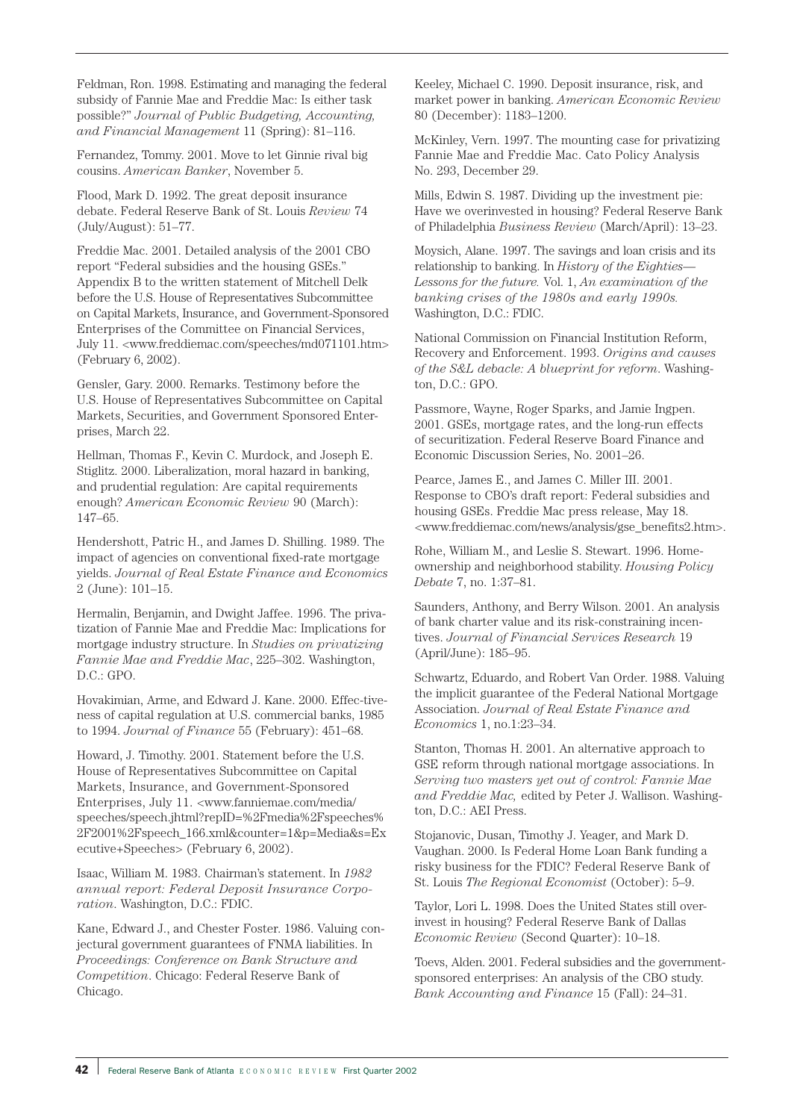Feldman, Ron. 1998. Estimating and managing the federal subsidy of Fannie Mae and Freddie Mac: Is either task possible?" *Journal of Public Budgeting, Accounting, and Financial Management* 11 (Spring): 81–116.

Fernandez, Tommy. 2001. Move to let Ginnie rival big cousins. *American Banker*, November 5.

Flood, Mark D. 1992. The great deposit insurance debate. Federal Reserve Bank of St. Louis *Review* 74 (July/August): 51–77.

Freddie Mac. 2001. Detailed analysis of the 2001 CBO report "Federal subsidies and the housing GSEs." Appendix B to the written statement of Mitchell Delk before the U.S. House of Representatives Subcommittee on Capital Markets, Insurance, and Government-Sponsored Enterprises of the Committee on Financial Services, July 11. <www.freddiemac.com/speeches/md071101.htm> (February 6, 2002).

Gensler, Gary. 2000. Remarks. Testimony before the U.S. House of Representatives Subcommittee on Capital Markets, Securities, and Government Sponsored Enterprises, March 22.

Hellman, Thomas F., Kevin C. Murdock, and Joseph E. Stiglitz. 2000. Liberalization, moral hazard in banking, and prudential regulation: Are capital requirements enough? *American Economic Review* 90 (March): 147–65.

Hendershott, Patric H., and James D. Shilling. 1989. The impact of agencies on conventional fixed-rate mortgage yields. *Journal of Real Estate Finance and Economics* 2 (June): 101–15.

Hermalin, Benjamin, and Dwight Jaffee. 1996. The privatization of Fannie Mae and Freddie Mac: Implications for mortgage industry structure. In *Studies on privatizing Fannie Mae and Freddie Mac*, 225–302. Washington, D.C.: GPO.

Hovakimian, Arme, and Edward J. Kane. 2000. Effec-tiveness of capital regulation at U.S. commercial banks, 1985 to 1994. *Journal of Finance* 55 (February): 451–68.

Howard, J. Timothy. 2001. Statement before the U.S. House of Representatives Subcommittee on Capital Markets, Insurance, and Government-Sponsored Enterprises, July 11. <www.fanniemae.com/media/ speeches/speech.jhtml?repID=%2Fmedia%2Fspeeches% 2F2001%2Fspeech\_166.xml&counter=1&p=Media&s=Ex ecutive+Speeches> (February 6, 2002).

Isaac, William M. 1983. Chairman's statement. In *1982 annual report: Federal Deposit Insurance Corporation*. Washington, D.C.: FDIC.

Kane, Edward J., and Chester Foster. 1986. Valuing conjectural government guarantees of FNMA liabilities. In *Proceedings: Conference on Bank Structure and Competition*. Chicago: Federal Reserve Bank of Chicago.

Keeley, Michael C. 1990. Deposit insurance, risk, and market power in banking. *American Economic Review* 80 (December): 1183–1200.

McKinley, Vern. 1997. The mounting case for privatizing Fannie Mae and Freddie Mac. Cato Policy Analysis No. 293, December 29.

Mills, Edwin S. 1987. Dividing up the investment pie: Have we overinvested in housing? Federal Reserve Bank of Philadelphia *Business Review* (March/April): 13–23.

Moysich, Alane. 1997. The savings and loan crisis and its relationship to banking. In *History of the Eighties— Lessons for the future.* Vol. 1, *An examination of the banking crises of the 1980s and early 1990s.* Washington, D.C.: FDIC.

National Commission on Financial Institution Reform, Recovery and Enforcement. 1993. *Origins and causes of the S&L debacle: A blueprint for reform*. Washington, D.C.: GPO.

Passmore, Wayne, Roger Sparks, and Jamie Ingpen. 2001. GSEs, mortgage rates, and the long-run effects of securitization. Federal Reserve Board Finance and Economic Discussion Series, No. 2001–26.

Pearce, James E., and James C. Miller III. 2001. Response to CBO's draft report: Federal subsidies and housing GSEs. Freddie Mac press release, May 18. <www.freddiemac.com/news/analysis/gse\_benefits2.htm>.

Rohe, William M., and Leslie S. Stewart. 1996. Homeownership and neighborhood stability. *Housing Policy Debate* 7, no. 1:37–81.

Saunders, Anthony, and Berry Wilson. 2001. An analysis of bank charter value and its risk-constraining incentives. *Journal of Financial Services Research* 19 (April/June): 185–95.

Schwartz, Eduardo, and Robert Van Order. 1988. Valuing the implicit guarantee of the Federal National Mortgage Association. *Journal of Real Estate Finance and Economics* 1, no.1:23–34.

Stanton, Thomas H. 2001. An alternative approach to GSE reform through national mortgage associations. In *Serving two masters yet out of control: Fannie Mae and Freddie Mac,* edited by Peter J. Wallison. Washington, D.C.: AEI Press.

Stojanovic, Dusan, Timothy J. Yeager, and Mark D. Vaughan. 2000. Is Federal Home Loan Bank funding a risky business for the FDIC? Federal Reserve Bank of St. Louis *The Regional Economist* (October): 5–9.

Taylor, Lori L. 1998. Does the United States still overinvest in housing? Federal Reserve Bank of Dallas *Economic Review* (Second Quarter): 10–18.

Toevs, Alden. 2001. Federal subsidies and the governmentsponsored enterprises: An analysis of the CBO study. *Bank Accounting and Finance* 15 (Fall): 24–31.